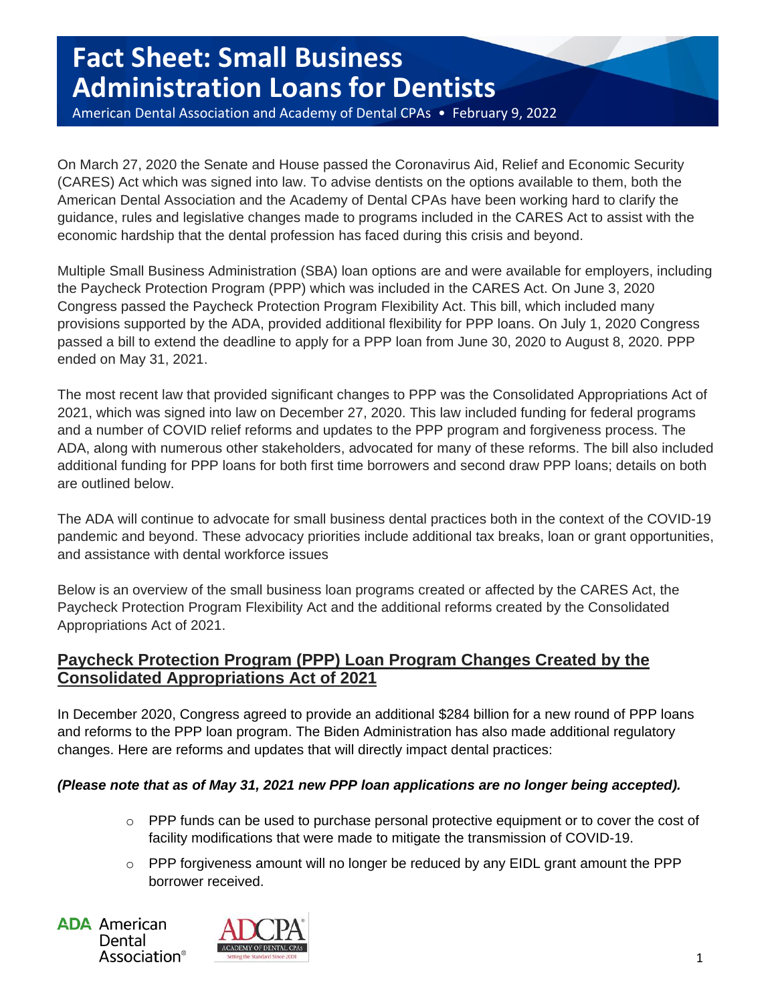# **Fact Sheet: Small Business Administration Loans for Dentists**

American Dental Association and Academy of Dental CPAs • February 9, 2022

On March 27, 2020 the Senate and House passed the Coronavirus Aid, Relief and Economic Security (CARES) Act which was signed into law. To advise dentists on the options available to them, both the American Dental Association and the Academy of Dental CPAs have been working hard to clarify the guidance, rules and legislative changes made to programs included in the CARES Act to assist with the economic hardship that the dental profession has faced during this crisis and beyond.

Multiple Small Business Administration (SBA) loan options are and were available for employers, including the Paycheck Protection Program (PPP) which was included in the CARES Act. On June 3, 2020 Congress passed the Paycheck Protection Program Flexibility Act. This bill, which included many provisions supported by the ADA, provided additional flexibility for PPP loans. On July 1, 2020 Congress passed a bill to extend the deadline to apply for a PPP loan from June 30, 2020 to August 8, 2020. PPP ended on May 31, 2021.

The most recent law that provided significant changes to PPP was the Consolidated Appropriations Act of 2021, which was signed into law on December 27, 2020. This law included funding for federal programs and a number of COVID relief reforms and updates to the PPP program and forgiveness process. The ADA, along with numerous other stakeholders, advocated for many of these reforms. The bill also included additional funding for PPP loans for both first time borrowers and second draw PPP loans; details on both are outlined below.

The ADA will continue to advocate for small business dental practices both in the context of the COVID-19 pandemic and beyond. These advocacy priorities include additional tax breaks, loan or grant opportunities, and assistance with dental workforce issues

Below is an overview of the small business loan programs created or affected by the CARES Act, the Paycheck Protection Program Flexibility Act and the additional reforms created by the Consolidated Appropriations Act of 2021.

## **Paycheck Protection Program (PPP) Loan Program Changes Created by the Consolidated Appropriations Act of 2021**

In December 2020, Congress agreed to provide an additional \$284 billion for a new round of PPP loans and reforms to the PPP loan program. The Biden Administration has also made additional regulatory changes. Here are reforms and updates that will directly impact dental practices:

### *(Please note that as of May 31, 2021 new PPP loan applications are no longer being accepted).*

- $\circ$  PPP funds can be used to purchase personal protective equipment or to cover the cost of facility modifications that were made to mitigate the transmission of COVID-19.
- o PPP forgiveness amount will no longer be reduced by any EIDL grant amount the PPP borrower received.

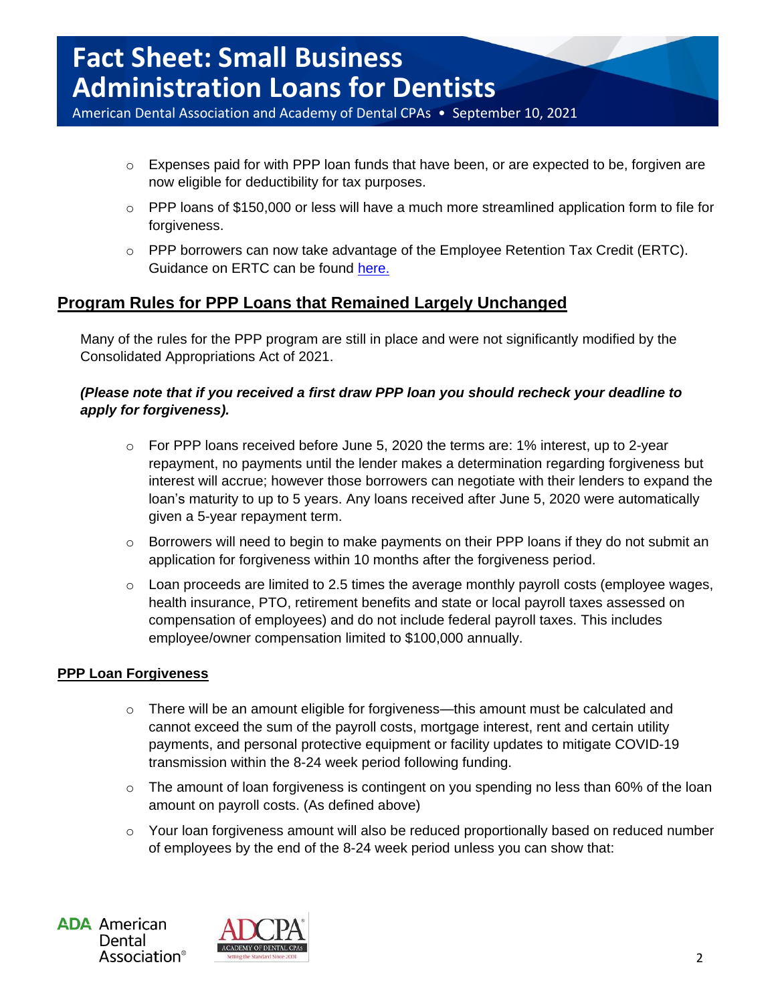American Dental Association and Academy of Dental CPAs • September 10, 2021

- $\circ$  Expenses paid for with PPP loan funds that have been, or are expected to be, forgiven are now eligible for deductibility for tax purposes.
- o PPP loans of \$150,000 or less will have a much more streamlined application form to file for forgiveness.
- o PPP borrowers can now take advantage of the Employee Retention Tax Credit (ERTC). Guidance on ERTC can be found [here.](https://www.irs.gov/pub/irs-drop/n-21-20.pdf)

## **Program Rules for PPP Loans that Remained Largely Unchanged**

Many of the rules for the PPP program are still in place and were not significantly modified by the Consolidated Appropriations Act of 2021.

#### *(Please note that if you received a first draw PPP loan you should recheck your deadline to apply for forgiveness).*

- o For PPP loans received before June 5, 2020 the terms are: 1% interest, up to 2-year repayment, no payments until the lender makes a determination regarding forgiveness but interest will accrue; however those borrowers can negotiate with their lenders to expand the loan's maturity to up to 5 years. Any loans received after June 5, 2020 were automatically given a 5-year repayment term.
- o Borrowers will need to begin to make payments on their PPP loans if they do not submit an application for forgiveness within 10 months after the forgiveness period.
- o Loan proceeds are limited to 2.5 times the average monthly payroll costs (employee wages, health insurance, PTO, retirement benefits and state or local payroll taxes assessed on compensation of employees) and do not include federal payroll taxes. This includes employee/owner compensation limited to \$100,000 annually.

#### **PPP Loan Forgiveness**

- $\circ$  There will be an amount eligible for forgiveness—this amount must be calculated and cannot exceed the sum of the payroll costs, mortgage interest, rent and certain utility payments, and personal protective equipment or facility updates to mitigate COVID-19 transmission within the 8-24 week period following funding.
- o The amount of loan forgiveness is contingent on you spending no less than 60% of the loan amount on payroll costs. (As defined above)
- $\circ$  Your loan forgiveness amount will also be reduced proportionally based on reduced number of employees by the end of the 8-24 week period unless you can show that:

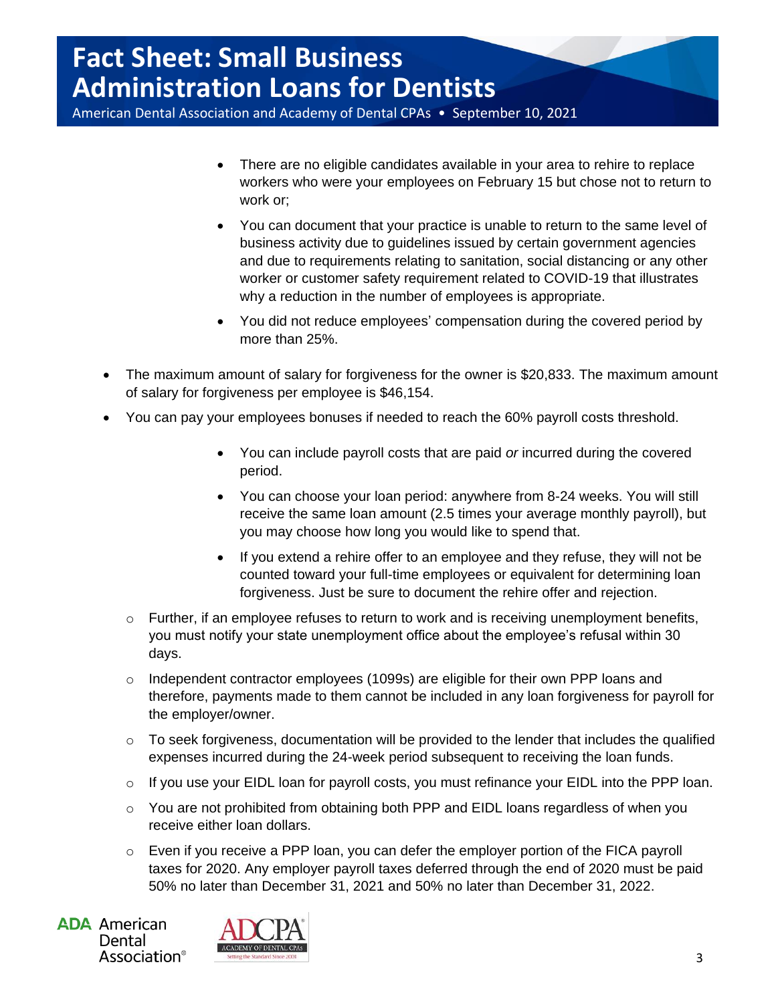American Dental Association and Academy of Dental CPAs • September 10, 2021

- There are no eligible candidates available in your area to rehire to replace workers who were your employees on February 15 but chose not to return to work or;
- You can document that your practice is unable to return to the same level of business activity due to guidelines issued by certain government agencies and due to requirements relating to sanitation, social distancing or any other worker or customer safety requirement related to COVID-19 that illustrates why a reduction in the number of employees is appropriate.
- You did not reduce employees' compensation during the covered period by more than 25%.
- The maximum amount of salary for forgiveness for the owner is \$20,833. The maximum amount of salary for forgiveness per employee is \$46,154.
- You can pay your employees bonuses if needed to reach the 60% payroll costs threshold.
	- You can include payroll costs that are paid *or* incurred during the covered period.
	- You can choose your loan period: anywhere from 8-24 weeks. You will still receive the same loan amount (2.5 times your average monthly payroll), but you may choose how long you would like to spend that.
	- If you extend a rehire offer to an employee and they refuse, they will not be counted toward your full-time employees or equivalent for determining loan forgiveness. Just be sure to document the rehire offer and rejection.
	- $\circ$  Further, if an employee refuses to return to work and is receiving unemployment benefits, you must notify your state unemployment office about the employee's refusal within 30 days.
	- $\circ$  Independent contractor employees (1099s) are eligible for their own PPP loans and therefore, payments made to them cannot be included in any loan forgiveness for payroll for the employer/owner.
	- $\circ$  To seek forgiveness, documentation will be provided to the lender that includes the qualified expenses incurred during the 24-week period subsequent to receiving the loan funds.
	- o If you use your EIDL loan for payroll costs, you must refinance your EIDL into the PPP loan.
	- o You are not prohibited from obtaining both PPP and EIDL loans regardless of when you receive either loan dollars.
	- $\circ$  Even if you receive a PPP loan, you can defer the employer portion of the FICA payroll taxes for 2020. Any employer payroll taxes deferred through the end of 2020 must be paid 50% no later than December 31, 2021 and 50% no later than December 31, 2022.

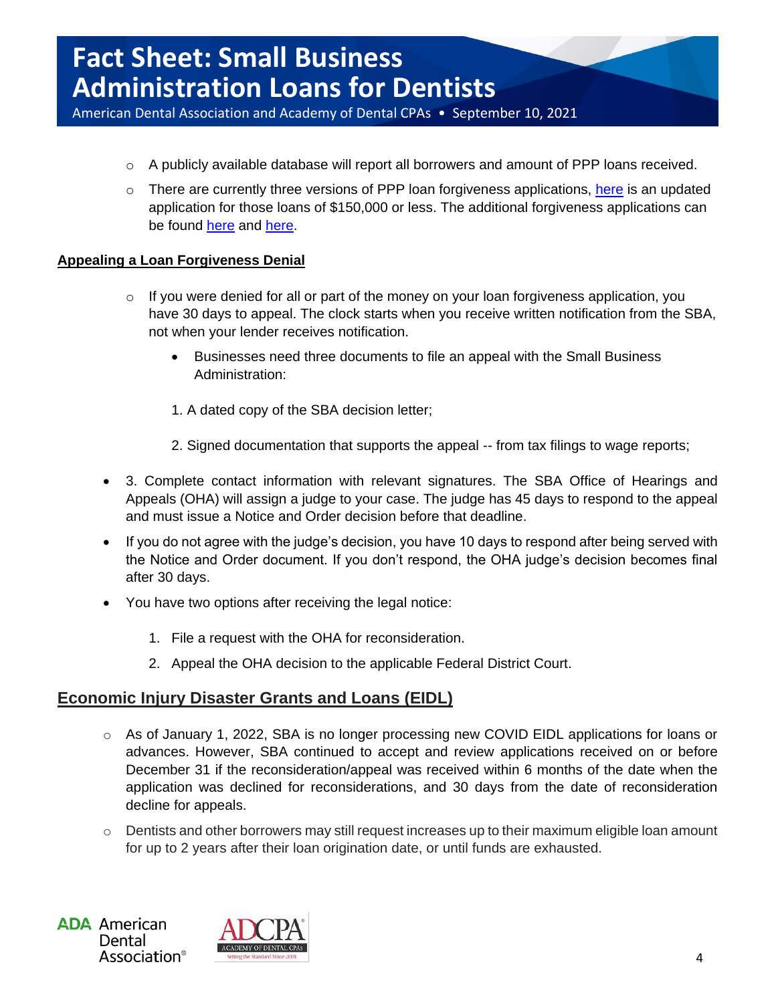American Dental Association and Academy of Dental CPAs • September 10, 2021

- $\circ$  A publicly available database will report all borrowers and amount of PPP loans received.
- $\circ$  There are currently three versions of PPP loan forgiveness applications, [here](https://www.sba.gov/document/sba-form-3508s-ppp-3508s-loan-forgiveness-application-instructions) is an updated application for those loans of \$150,000 or less. The additional forgiveness applications can be found [here](https://www.sba.gov/document/sba-form-3508ez-ppp-ez-loan-forgiveness-application-instructions) and [here.](https://www.sba.gov/document/sba-form-3508-ppp-loan-forgiveness-application-instructions)

#### **Appealing a Loan Forgiveness Denial**

- $\circ$  If you were denied for all or part of the money on your loan forgiveness application, you have 30 days to appeal. The clock starts when you receive written notification from the SBA, not when your lender receives notification.
	- Businesses need three documents to file an appeal with the Small Business Administration:
	- 1. A dated copy of the SBA decision letter;
	- 2. Signed documentation that supports the appeal -- from tax filings to wage reports;
- 3. Complete contact information with relevant signatures. The SBA Office of Hearings and Appeals (OHA) will assign a judge to your case. The judge has 45 days to respond to the appeal and must issue a Notice and Order decision before that deadline.
- If you do not agree with the judge's decision, you have 10 days to respond after being served with the Notice and Order document. If you don't respond, the OHA judge's decision becomes final after 30 days.
- You have two options after receiving the legal notice:
	- 1. File a request with the OHA for reconsideration.
	- 2. Appeal the OHA decision to the applicable Federal District Court.

### **Economic Injury Disaster Grants and Loans (EIDL)**

- $\circ$  As of January 1, 2022, SBA is no longer processing new COVID EIDL applications for loans or advances. However, SBA continued to accept and review applications received on or before December 31 if the reconsideration/appeal was received within 6 months of the date when the application was declined for reconsiderations, and 30 days from the date of reconsideration decline for appeals.
- $\circ$  Dentists and other borrowers may still request increases up to their maximum eligible loan amount for up to 2 years after their loan origination date, or until funds are exhausted.